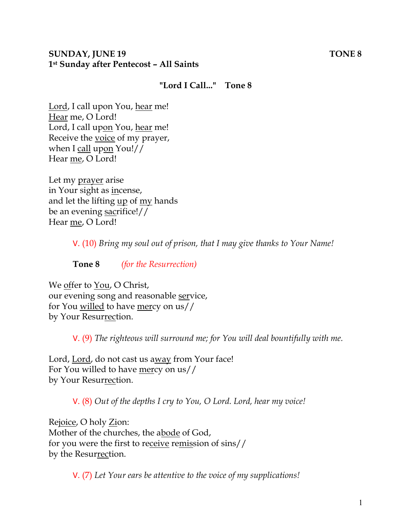#### **SUNDAY, JUNE 19 TONE 8 1st Sunday after Pentecost – All Saints**

# **"Lord I Call..." Tone 8**

Lord, I call upon You, hear me! Hear me, O Lord! Lord, I call upon You, hear me! Receive the voice of my prayer, when I call upon You!// Hear me, O Lord!

Let my prayer arise in Your sight as incense, and let the lifting up of my hands be an evening sacrifice!// Hear me, O Lord!

V. (10) *Bring my soul out of prison, that I may give thanks to Your Name!* 

**Tone 8** *(for the Resurrection)* 

We offer to You, O Christ, our evening song and reasonable service, for You willed to have mercy on us// by Your Resurrection.

V. (9) *The righteous will surround me; for You will deal bountifully with me.* 

Lord, Lord, do not cast us away from Your face! For You willed to have mercy on us// by Your Resurrection.

V. (8) *Out of the depths I cry to You, O Lord. Lord, hear my voice!* 

Rejoice, O holy Zion: Mother of the churches, the abode of God, for you were the first to receive remission of sins// by the Resurrection.

V. (7) *Let Your ears be attentive to the voice of my supplications!*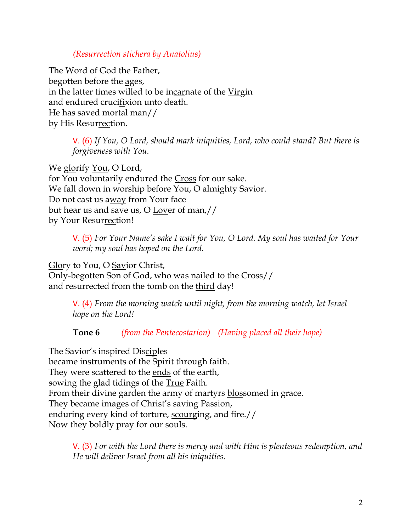### *(Resurrection stichera by Anatolius)*

The Word of God the Father, begotten before the ages, in the latter times willed to be incarnate of the Virgin and endured crucifixion unto death. He has saved mortal man// by His Resurrection.

> V. (6) *If You, O Lord, should mark iniquities, Lord, who could stand? But there is forgiveness with You.*

We glorify <u>You</u>, O Lord, for You voluntarily endured the Cross for our sake. We fall down in worship before You, O almighty Savior. Do not cast us away from Your face but hear us and save us, O Lover of man,// by Your Resurrection!

> V. (5) *For Your Name's sake I wait for You, O Lord. My soul has waited for Your word; my soul has hoped on the Lord.*

Glory to You, O Savior Christ, Only-begotten Son of God, who was nailed to the Cross// and resurrected from the tomb on the third day!

> V. (4) *From the morning watch until night, from the morning watch, let Israel hope on the Lord!*

**Tone 6** *(from the Pentecostarion) (Having placed all their hope)*

The Savior's inspired Disciples became instruments of the Spirit through faith. They were scattered to the ends of the earth, sowing the glad tidings of the **True Faith**. From their divine garden the army of martyrs blossomed in grace. They became images of Christ's saving Passion, enduring every kind of torture, scourging, and fire.// Now they boldly pray for our souls.

V. (3) *For with the Lord there is mercy and with Him is plenteous redemption, and He will deliver Israel from all his iniquities.*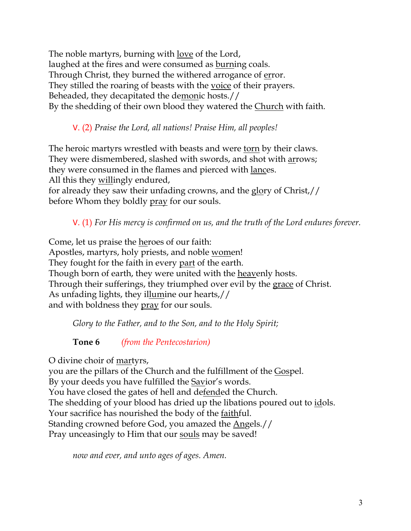The noble martyrs, burning with love of the Lord, laughed at the fires and were consumed as burning coals. Through Christ, they burned the withered arrogance of error. They stilled the roaring of beasts with the voice of their prayers. Beheaded, they decapitated the demonic hosts.// By the shedding of their own blood they watered the Church with faith.

V. (2) *Praise the Lord, all nations! Praise Him, all peoples!*

The heroic martyrs wrestled with beasts and were torn by their claws. They were dismembered, slashed with swords, and shot with arrows; they were consumed in the flames and pierced with lances. All this they willingly endured,

for already they saw their unfading crowns, and the glory of Christ,// before Whom they boldly <u>pray</u> for our souls.

V. (1) *For His mercy is confirmed on us, and the truth of the Lord endures forever.* 

Come, let us praise the heroes of our faith: Apostles, martyrs, holy priests, and noble <u>wom</u>en! They fought for the faith in every part of the earth. Though born of earth, they were united with the heavenly hosts. Through their sufferings, they triumphed over evil by the grace of Christ. As unfading lights, they illumine our hearts,// and with boldness they pray for our souls.

*Glory to the Father, and to the Son, and to the Holy Spirit;*

**Tone 6** *(from the Pentecostarion)*

O divine choir of martyrs,

you are the pillars of the Church and the fulfillment of the Gospel. By your deeds you have fulfilled the **Savior's words**. You have closed the gates of hell and defended the Church. The shedding of your blood has dried up the libations poured out to idols. Your sacrifice has nourished the body of the faithful. Standing crowned before God, you amazed the Angels.// Pray unceasingly to Him that our souls may be saved!

*now and ever, and unto ages of ages. Amen.*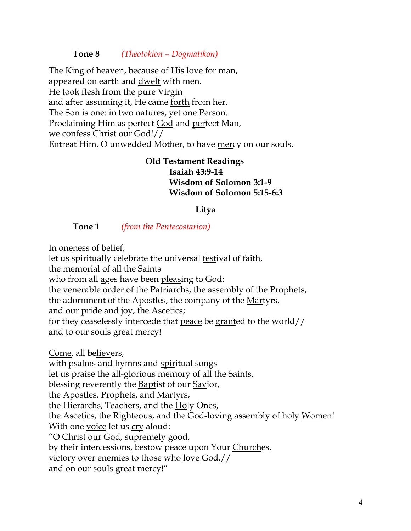#### **Tone 8** *(Theotokion – Dogmatikon)*

The King of heaven, because of His love for man, appeared on earth and dwelt with men. He took flesh from the pure Virgin and after assuming it, He came <u>forth</u> from her. The Son is one: in two natures, yet one Person. Proclaiming Him as perfect God and perfect Man, we confess Christ our God!// Entreat Him, O unwedded Mother, to have mercy on our souls.

# **Old Testament Readings Isaiah 43:9-14 Wisdom of Solomon 3:1-9 Wisdom of Solomon 5:15-6:3**

#### **Litya**

#### **Tone 1** *(from the Pentecostarion)*

In oneness of belief,

let us spiritually celebrate the universal festival of faith, the memorial of all the Saints who from all ages have been pleasing to God: the venerable order of the Patriarchs, the assembly of the Prophets, the adornment of the Apostles, the company of the Martyrs, and our pride and joy, the Ascetics; for they ceaselessly intercede that peace be granted to the world// and to our souls great mercy!

Come, all believers, with psalms and hymns and spiritual songs let us praise the all-glorious memory of all the Saints, blessing reverently the Baptist of our Savior, the Apostles, Prophets, and Martyrs, the Hierarchs, Teachers, and the Holy Ones, the Ascetics, the Righteous, and the God-loving assembly of holy <u>Wom</u>en! With one voice let us cry aloud: "O Christ our God, supremely good, by their intercessions, bestow peace upon Your Churches, victory over enemies to those who love God,// and on our souls great mercy!"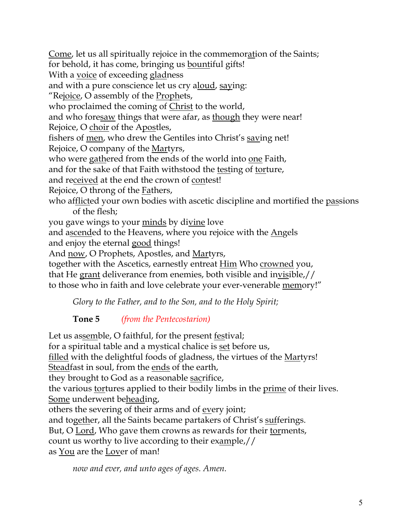Come, let us all spiritually rejoice in the commemoration of the Saints; for behold, it has come, bringing us bountiful gifts! With a voice of exceeding gladness and with a pure conscience let us cry aloud, saying: "Rejoice, O assembly of the Prophets, who proclaimed the coming of Christ to the world, and who foresaw things that were afar, as though they were near! Rejoice, O choir of the Apostles, fishers of men, who drew the Gentiles into Christ's saving net! Rejoice, O company of the Martyrs, who were gathered from the ends of the world into one Faith, and for the sake of that Faith withstood the testing of torture, and received at the end the crown of contest! Rejoice, O throng of the Fathers, who afflicted your own bodies with ascetic discipline and mortified the passions of the flesh; you gave wings to your minds by divine love and ascended to the Heavens, where you rejoice with the Angels and enjoy the eternal good things! And <u>now</u>, O Prophets, Apostles, and <u>Martyrs</u>, together with the Ascetics, earnestly entreat Him Who crowned you, that He grant deliverance from enemies, both visible and invisible,// to those who in faith and love celebrate your ever-venerable memory!"

*Glory to the Father, and to the Son, and to the Holy Spirit;* 

**Tone 5** *(from the Pentecostarion)*

Let us assemble, O faithful, for the present festival; for a spiritual table and a mystical chalice is set before us, filled with the delightful foods of gladness, the virtues of the <u>Martyrs!</u> Steadfast in soul, from the ends of the earth, they brought to God as a reasonable sacrifice, the various tortures applied to their bodily limbs in the prime of their lives. Some underwent beheading, others the severing of their arms and of every joint; and together, all the Saints became partakers of Christ's sufferings. But, O Lord, Who gave them crowns as rewards for their torments, count us worthy to live according to their example,// as <u>You</u> are the Lover of man!

*now and ever, and unto ages of ages. Amen.*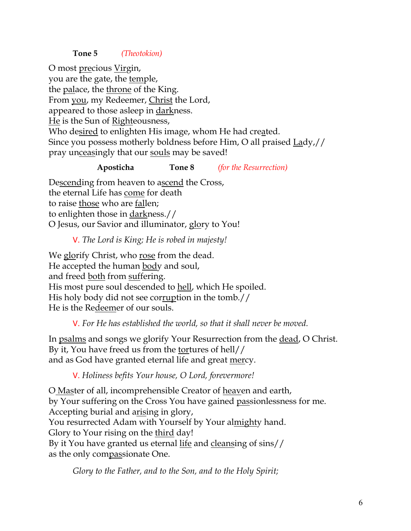### **Tone 5** *(Theotokion)*

O most precious Virgin, you are the gate, the temple, the palace, the throne of the King. From you, my Redeemer, Christ the Lord, appeared to those asleep in darkness. He is the Sun of Righteousness, Who desired to enlighten His image, whom He had created. Since you possess motherly boldness before Him, O all praised Lady,// pray unceasingly that our souls may be saved!

#### **Aposticha Tone 8** *(for the Resurrection)*

Descending from heaven to ascend the Cross, the eternal Life has come for death to raise those who are fallen; to enlighten those in darkness.// O Jesus, our Savior and illuminator, glory to You!

### V. *The Lord is King; He is robed in majesty!*

We glorify Christ, who rose from the dead. He accepted the human body and soul, and freed both from suffering. His most pure soul descended to hell, which He spoiled. His holy body did not see corruption in the tomb.// He is the Redeemer of our souls.

# V. *For He has established the world, so that it shall never be moved.*

In psalms and songs we glorify Your Resurrection from the dead, O Christ. By it, You have freed us from the tortures of hell// and as God have granted eternal life and great mercy.

#### V. *Holiness befits Your house, O Lord, forevermore!*

O Master of all, incomprehensible Creator of heaven and earth, by Your suffering on the Cross You have gained passionlessness for me. Accepting burial and arising in glory, You resurrected Adam with Yourself by Your almighty hand. Glory to Your rising on the third day! By it You have granted us eternal life and cleansing of sins// as the only compassionate One.

*Glory to the Father, and to the Son, and to the Holy Spirit;*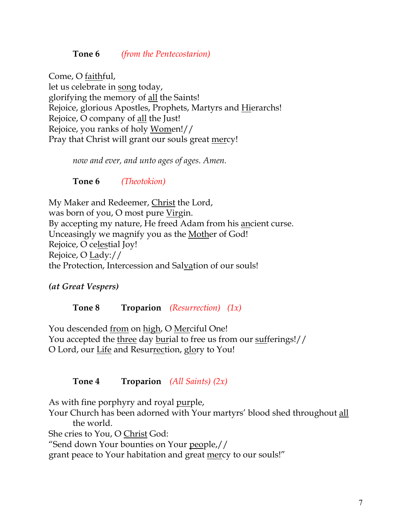### **Tone 6** *(from the Pentecostarion)*

Come, O faithful, let us celebrate in song today, glorifying the memory of all the Saints! Rejoice, glorious Apostles, Prophets, Martyrs and Hierarchs! Rejoice, O company of all the Just! Rejoice, you ranks of holy Women!// Pray that Christ will grant our souls great mercy!

*now and ever, and unto ages of ages. Amen.*

**Tone 6** *(Theotokion)*

My Maker and Redeemer, Christ the Lord, was born of you, O most pure Virgin. By accepting my nature, He freed Adam from his ancient curse. Unceasingly we magnify you as the Mother of God! Rejoice, O celestial Joy! Rejoice, O Lady:// the Protection, Intercession and Salvation of our souls!

*(at Great Vespers)*

**Tone 8 Troparion** *(Resurrection) (1x)*

You descended from on high, O Merciful One! You accepted the three day burial to free us from our sufferings!// O Lord, our Life and Resurrection, glory to You!

# **Tone 4 Troparion** *(All Saints) (2x)*

As with fine porphyry and royal purple,

Your Church has been adorned with Your martyrs' blood shed throughout all the world.

She cries to You, O Christ God:

"Send down Your bounties on Your people,//

grant peace to Your habitation and great mercy to our souls!"